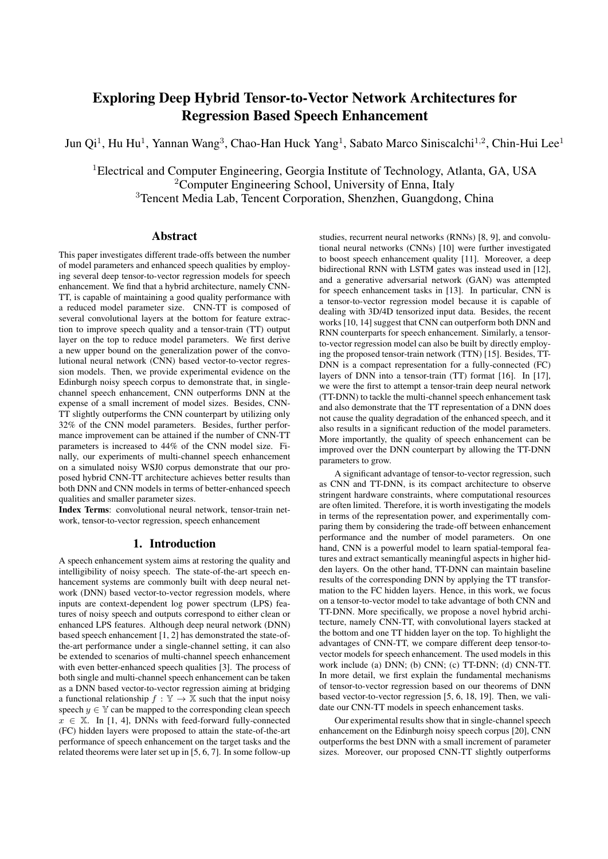# Exploring Deep Hybrid Tensor-to-Vector Network Architectures for Regression Based Speech Enhancement

Jun Qi<sup>1</sup>, Hu Hu<sup>1</sup>, Yannan Wang<sup>3</sup>, Chao-Han Huck Yang<sup>1</sup>, Sabato Marco Siniscalchi<sup>1,2</sup>, Chin-Hui Lee<sup>1</sup>

<sup>1</sup>Electrical and Computer Engineering, Georgia Institute of Technology, Atlanta, GA, USA <sup>2</sup>Computer Engineering School, University of Enna, Italy <sup>3</sup>Tencent Media Lab, Tencent Corporation, Shenzhen, Guangdong, China

# Abstract

This paper investigates different trade-offs between the number of model parameters and enhanced speech qualities by employing several deep tensor-to-vector regression models for speech enhancement. We find that a hybrid architecture, namely CNN-TT, is capable of maintaining a good quality performance with a reduced model parameter size. CNN-TT is composed of several convolutional layers at the bottom for feature extraction to improve speech quality and a tensor-train (TT) output layer on the top to reduce model parameters. We first derive a new upper bound on the generalization power of the convolutional neural network (CNN) based vector-to-vector regression models. Then, we provide experimental evidence on the Edinburgh noisy speech corpus to demonstrate that, in singlechannel speech enhancement, CNN outperforms DNN at the expense of a small increment of model sizes. Besides, CNN-TT slightly outperforms the CNN counterpart by utilizing only 32% of the CNN model parameters. Besides, further performance improvement can be attained if the number of CNN-TT parameters is increased to 44% of the CNN model size. Finally, our experiments of multi-channel speech enhancement on a simulated noisy WSJ0 corpus demonstrate that our proposed hybrid CNN-TT architecture achieves better results than both DNN and CNN models in terms of better-enhanced speech qualities and smaller parameter sizes.

Index Terms: convolutional neural network, tensor-train network, tensor-to-vector regression, speech enhancement

# 1. Introduction

A speech enhancement system aims at restoring the quality and intelligibility of noisy speech. The state-of-the-art speech enhancement systems are commonly built with deep neural network (DNN) based vector-to-vector regression models, where inputs are context-dependent log power spectrum (LPS) features of noisy speech and outputs correspond to either clean or enhanced LPS features. Although deep neural network (DNN) based speech enhancement [1, 2] has demonstrated the state-ofthe-art performance under a single-channel setting, it can also be extended to scenarios of multi-channel speech enhancement with even better-enhanced speech qualities [3]. The process of both single and multi-channel speech enhancement can be taken as a DNN based vector-to-vector regression aiming at bridging a functional relationship  $f : \mathbb{Y} \to \mathbb{X}$  such that the input noisy speech  $y \in Y$  can be mapped to the corresponding clean speech  $x \in \mathbb{X}$ . In [1, 4], DNNs with feed-forward fully-connected (FC) hidden layers were proposed to attain the state-of-the-art performance of speech enhancement on the target tasks and the related theorems were later set up in [5, 6, 7]. In some follow-up

studies, recurrent neural networks (RNNs) [8, 9], and convolutional neural networks (CNNs) [10] were further investigated to boost speech enhancement quality [11]. Moreover, a deep bidirectional RNN with LSTM gates was instead used in [12], and a generative adversarial network (GAN) was attempted for speech enhancement tasks in [13]. In particular, CNN is a tensor-to-vector regression model because it is capable of dealing with 3D/4D tensorized input data. Besides, the recent works [10, 14] suggest that CNN can outperform both DNN and RNN counterparts for speech enhancement. Similarly, a tensorto-vector regression model can also be built by directly employing the proposed tensor-train network (TTN) [15]. Besides, TT-DNN is a compact representation for a fully-connected (FC) layers of DNN into a tensor-train (TT) format [16]. In [17], we were the first to attempt a tensor-train deep neural network (TT-DNN) to tackle the multi-channel speech enhancement task and also demonstrate that the TT representation of a DNN does not cause the quality degradation of the enhanced speech, and it also results in a significant reduction of the model parameters. More importantly, the quality of speech enhancement can be improved over the DNN counterpart by allowing the TT-DNN parameters to grow.

A significant advantage of tensor-to-vector regression, such as CNN and TT-DNN, is its compact architecture to observe stringent hardware constraints, where computational resources are often limited. Therefore, it is worth investigating the models in terms of the representation power, and experimentally comparing them by considering the trade-off between enhancement performance and the number of model parameters. On one hand, CNN is a powerful model to learn spatial-temporal features and extract semantically meaningful aspects in higher hidden layers. On the other hand, TT-DNN can maintain baseline results of the corresponding DNN by applying the TT transformation to the FC hidden layers. Hence, in this work, we focus on a tensor-to-vector model to take advantage of both CNN and TT-DNN. More specifically, we propose a novel hybrid architecture, namely CNN-TT, with convolutional layers stacked at the bottom and one TT hidden layer on the top. To highlight the advantages of CNN-TT, we compare different deep tensor-tovector models for speech enhancement. The used models in this work include (a) DNN; (b) CNN; (c) TT-DNN; (d) CNN-TT. In more detail, we first explain the fundamental mechanisms of tensor-to-vector regression based on our theorems of DNN based vector-to-vector regression [5, 6, 18, 19]. Then, we validate our CNN-TT models in speech enhancement tasks.

Our experimental results show that in single-channel speech enhancement on the Edinburgh noisy speech corpus [20], CNN outperforms the best DNN with a small increment of parameter sizes. Moreover, our proposed CNN-TT slightly outperforms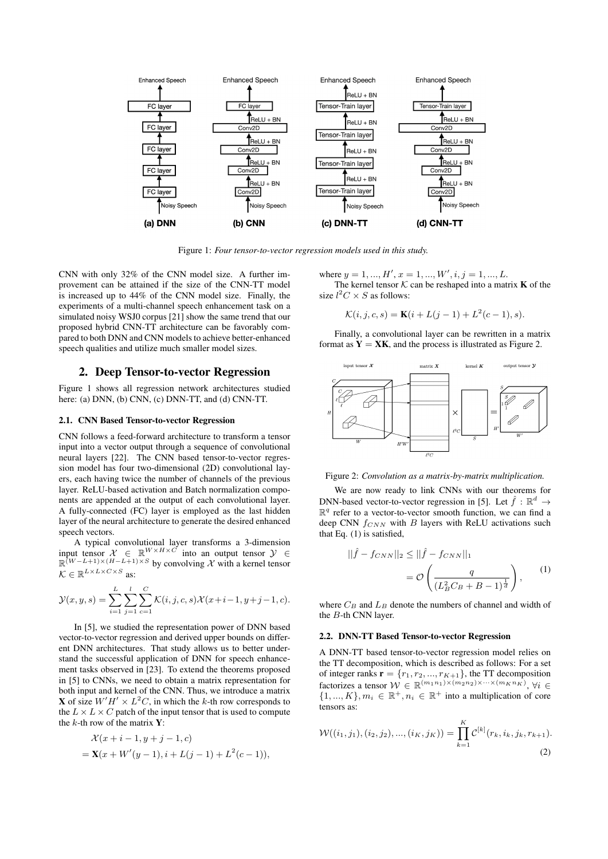

Figure 1: *Four tensor-to-vector regression models used in this study.*

CNN with only 32% of the CNN model size. A further improvement can be attained if the size of the CNN-TT model is increased up to 44% of the CNN model size. Finally, the experiments of a multi-channel speech enhancement task on a simulated noisy WSJ0 corpus [21] show the same trend that our proposed hybrid CNN-TT architecture can be favorably compared to both DNN and CNN models to achieve better-enhanced speech qualities and utilize much smaller model sizes.

## 2. Deep Tensor-to-vector Regression

Figure 1 shows all regression network architectures studied here: (a) DNN, (b) CNN, (c) DNN-TT, and (d) CNN-TT.

## 2.1. CNN Based Tensor-to-vector Regression

CNN follows a feed-forward architecture to transform a tensor input into a vector output through a sequence of convolutional neural layers [22]. The CNN based tensor-to-vector regression model has four two-dimensional (2D) convolutional layers, each having twice the number of channels of the previous layer. ReLU-based activation and Batch normalization components are appended at the output of each convolutional layer. A fully-connected (FC) layer is employed as the last hidden layer of the neural architecture to generate the desired enhanced speech vectors.

A typical convolutional layer transforms a 3-dimension input tensor  $\mathcal{X} \in \mathbb{R}^{W \times H \times C}$  into an output tensor  $\mathcal{Y} \in$  $\mathbb{R}^{(W-L+1)\times(H-L+1)\times S}$  by convolving X with a kernel tensor  $\mathcal{K} \in \mathbb{R}^{L \times L \times C \times S}$  as:

$$
\mathcal{Y}(x, y, s) = \sum_{i=1}^{L} \sum_{j=1}^{l} \sum_{c=1}^{C} \mathcal{K}(i, j, c, s) \mathcal{X}(x+i-1, y+j-1, c).
$$

In [5], we studied the representation power of DNN based vector-to-vector regression and derived upper bounds on different DNN architectures. That study allows us to better understand the successful application of DNN for speech enhancement tasks observed in [23]. To extend the theorems proposed in [5] to CNNs, we need to obtain a matrix representation for both input and kernel of the CNN. Thus, we introduce a matrix **X** of size  $W'H' \times L^2C$ , in which the k-th row corresponds to the  $L \times L \times C$  patch of the input tensor that is used to compute the  $k$ -th row of the matrix  $Y$ :

$$
\mathcal{X}(x+i-1, y+j-1, c)
$$
  
=  $\mathbf{X}(x + W'(y-1), i + L(j-1) + L^{2}(c-1)),$ 

where  $y = 1, ..., H', x = 1, ..., W', i, j = 1, ..., L$ . The kernel tensor  $K$  can be reshaped into a matrix **K** of the

size  $l^2C \times S$  as follows:

$$
\mathcal{K}(i, j, c, s) = \mathbf{K}(i + L(j - 1) + L^{2}(c - 1), s).
$$

Finally, a convolutional layer can be rewritten in a matrix format as  $Y = XK$ , and the process is illustrated as Figure 2.



Figure 2: *Convolution as a matrix-by-matrix multiplication.*

We are now ready to link CNNs with our theorems for DNN-based vector-to-vector regression in [5]. Let  $\hat{f} : \mathbb{R}^d \to$  $\mathbb{R}^q$  refer to a vector-to-vector smooth function, we can find a deep CNN  $f_{CNN}$  with B layers with ReLU activations such that Eq. (1) is satisfied,

$$
\|\hat{f} - f_{CNN}\|_2 \le \|\hat{f} - f_{CNN}\|_1
$$
  
=  $\mathcal{O}\left(\frac{q}{(L_B^2 C_B + B - 1)^{\frac{1}{d}}}\right),$  (1)

where  $C_B$  and  $L_B$  denote the numbers of channel and width of the B-th CNN layer.

## 2.2. DNN-TT Based Tensor-to-vector Regression

A DNN-TT based tensor-to-vector regression model relies on the TT decomposition, which is described as follows: For a set of integer ranks  $\mathbf{r} = \{r_1, r_2, ..., r_{K+1}\}$ , the TT decomposition factorizes a tensor  $W \in \mathbb{R}^{(m_1n_1)\times(m_2n_2)\times\cdots\times(m_Kn_K)}$ ,  $\forall i \in$  $\{1, ..., K\}, m_i \in \mathbb{R}^+, n_i \in \mathbb{R}^+$  into a multiplication of core tensors as:

$$
W((i_1, j_1), (i_2, j_2), ..., (i_K, j_K)) = \prod_{k=1}^K C^{[k]}(r_k, i_k, j_k, r_{k+1}).
$$
\n(2)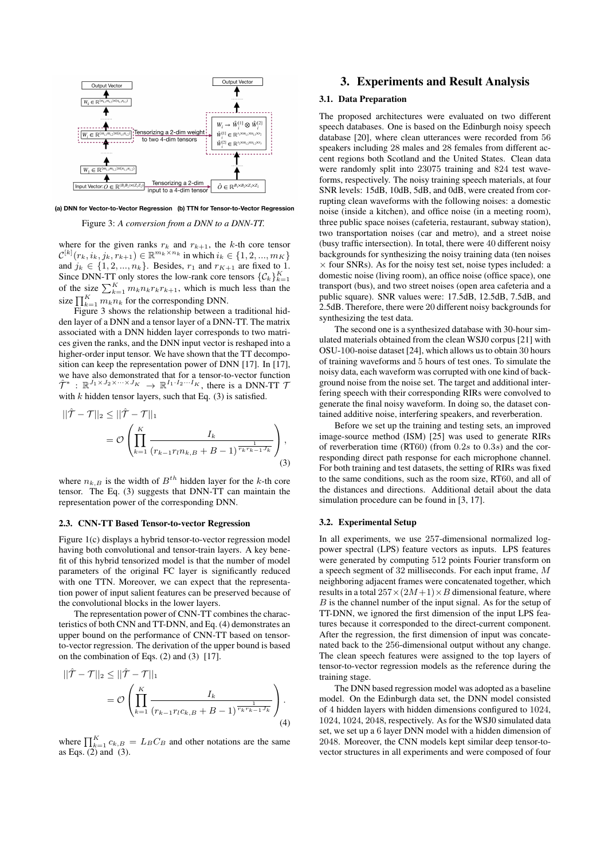

(a) DNN for Vector-to-Vector Regression (b) TTN for Tensor-to-Vector Regression

Figure 3: *A conversion from a DNN to a DNN-TT.*

where for the given ranks  $r_k$  and  $r_{k+1}$ , the k-th core tensor  $\mathcal{C}^{[k]}(r_k, i_k, j_k, r_{k+1}) \in \mathbb{R}^{m_k \times n_k}$  in which  $i_k \in \{1, 2, ..., m_K\}$ and  $j_k \in \{1, 2, ..., n_k\}$ . Besides,  $r_1$  and  $r_{K+1}$  are fixed to 1. Since DNN-TT only stores the low-rank core tensors  $\{C_k\}_{k=1}^K$ of the size  $\sum_{k=1}^{K} m_k n_k r_k r_{k+1}$ , which is much less than the size  $\prod_{k=1}^{K} m_k n_k$  for the corresponding DNN.

Figure 3 shows the relationship between a traditional hidden layer of a DNN and a tensor layer of a DNN-TT. The matrix associated with a DNN hidden layer corresponds to two matrices given the ranks, and the DNN input vector is reshaped into a higher-order input tensor. We have shown that the TT decomposition can keep the representation power of DNN [17]. In [17], we have also demonstrated that for a tensor-to-vector function  $\hat{\mathcal{T}}^*$  :  $\mathbb{R}^{J_1 \times J_2 \times \cdots \times J_K} \to \mathbb{R}^{I_1 \cdot I_2 \cdots I_K}$ , there is a DNN-TT 7 with  $k$  hidden tensor layers, such that Eq. (3) is satisfied.

$$
||\hat{\mathcal{T}} - \mathcal{T}||_2 \le ||\hat{\mathcal{T}} - \mathcal{T}||_1
$$
  
=  $\mathcal{O}\left(\prod_{k=1}^K \frac{I_k}{(r_{k-1}r_l n_{k,B} + B - 1)^{\frac{1}{r_k r_{k-1}^1 J_k}}}\right),$  (3)

where  $n_{k,B}$  is the width of  $B^{th}$  hidden layer for the k-th core tensor. The Eq. (3) suggests that DNN-TT can maintain the representation power of the corresponding DNN.

#### 2.3. CNN-TT Based Tensor-to-vector Regression

Figure 1(c) displays a hybrid tensor-to-vector regression model having both convolutional and tensor-train layers. A key benefit of this hybrid tensorized model is that the number of model parameters of the original FC layer is significantly reduced with one TTN. Moreover, we can expect that the representation power of input salient features can be preserved because of the convolutional blocks in the lower layers.

The representation power of CNN-TT combines the characteristics of both CNN and TT-DNN, and Eq. (4) demonstrates an upper bound on the performance of CNN-TT based on tensorto-vector regression. The derivation of the upper bound is based on the combination of Eqs. (2) and (3) [17].

$$
||\hat{\mathcal{T}} - \mathcal{T}||_2 \le ||\hat{\mathcal{T}} - \mathcal{T}||_1
$$
  
=  $\mathcal{O}\left(\prod_{k=1}^K \frac{I_k}{(r_{k-1}r_l c_{k,B} + B - 1)^{\frac{1}{r_k r_{k-1}^1 J_k}}}\right).$  (4)

where  $\prod_{k=1}^{K} c_{k,B} = L_B C_B$  and other notations are the same as Eqs.  $(2)$  and  $(3)$ .

## 3. Experiments and Result Analysis

## 3.1. Data Preparation

The proposed architectures were evaluated on two different speech databases. One is based on the Edinburgh noisy speech database [20], where clean utterances were recorded from 56 speakers including 28 males and 28 females from different accent regions both Scotland and the United States. Clean data were randomly split into 23075 training and 824 test waveforms, respectively. The noisy training speech materials, at four SNR levels: 15dB, 10dB, 5dB, and 0dB, were created from corrupting clean waveforms with the following noises: a domestic noise (inside a kitchen), and office noise (in a meeting room), three public space noises (cafeteria, restaurant, subway station), two transportation noises (car and metro), and a street noise (busy traffic intersection). In total, there were 40 different noisy backgrounds for synthesizing the noisy training data (ten noises  $\times$  four SNRs). As for the noisy test set, noise types included: a domestic noise (living room), an office noise (office space), one transport (bus), and two street noises (open area cafeteria and a public square). SNR values were: 17.5dB, 12.5dB, 7.5dB, and 2.5dB. Therefore, there were 20 different noisy backgrounds for synthesizing the test data.

The second one is a synthesized database with 30-hour simulated materials obtained from the clean WSJ0 corpus [21] with OSU-100-noise dataset [24], which allows us to obtain 30 hours of training waveforms and 5 hours of test ones. To simulate the noisy data, each waveform was corrupted with one kind of background noise from the noise set. The target and additional interfering speech with their corresponding RIRs were convolved to generate the final noisy waveform. In doing so, the dataset contained additive noise, interfering speakers, and reverberation.

Before we set up the training and testing sets, an improved image-source method (ISM) [25] was used to generate RIRs of reverberation time (RT60) (from  $0.2s$  to  $0.3s$ ) and the corresponding direct path response for each microphone channel. For both training and test datasets, the setting of RIRs was fixed to the same conditions, such as the room size, RT60, and all of the distances and directions. Additional detail about the data simulation procedure can be found in [3, 17].

#### 3.2. Experimental Setup

In all experiments, we use 257-dimensional normalized logpower spectral (LPS) feature vectors as inputs. LPS features were generated by computing 512 points Fourier transform on a speech segment of 32 milliseconds. For each input frame, M neighboring adjacent frames were concatenated together, which results in a total  $257 \times (2M+1) \times B$  dimensional feature, where  $B$  is the channel number of the input signal. As for the setup of TT-DNN, we ignored the first dimension of the input LPS features because it corresponded to the direct-current component. After the regression, the first dimension of input was concatenated back to the 256-dimensional output without any change. The clean speech features were assigned to the top layers of tensor-to-vector regression models as the reference during the training stage.

The DNN based regression model was adopted as a baseline model. On the Edinburgh data set, the DNN model consisted of 4 hidden layers with hidden dimensions configured to 1024, 1024, 1024, 2048, respectively. As for the WSJ0 simulated data set, we set up a 6 layer DNN model with a hidden dimension of 2048. Moreover, the CNN models kept similar deep tensor-tovector structures in all experiments and were composed of four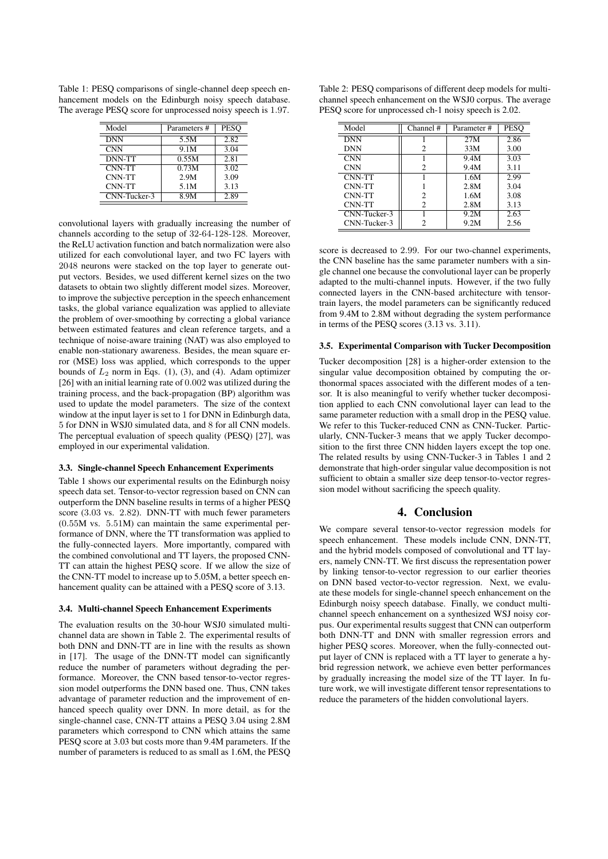Table 1: PESQ comparisons of single-channel deep speech enhancement models on the Edinburgh noisy speech database. The average PESQ score for unprocessed noisy speech is 1.97.

| Model        | Parameters # | <b>PESO</b> |
|--------------|--------------|-------------|
| <b>DNN</b>   | 5.5M         | 2.82        |
| <b>CNN</b>   | 9.1M         | 3.04        |
| DNN-TT       | 0.55M        | 2.81        |
| CNN-TT       | 0.73M        | 3.02        |
| CNN-TT       | 2.9M         | 3.09        |
| CNN-TT       | 5.1M         | 3.13        |
| CNN-Tucker-3 | 8.9M         | 2.89        |

convolutional layers with gradually increasing the number of channels according to the setup of 32-64-128-128. Moreover, the ReLU activation function and batch normalization were also utilized for each convolutional layer, and two FC layers with 2048 neurons were stacked on the top layer to generate output vectors. Besides, we used different kernel sizes on the two datasets to obtain two slightly different model sizes. Moreover, to improve the subjective perception in the speech enhancement tasks, the global variance equalization was applied to alleviate the problem of over-smoothing by correcting a global variance between estimated features and clean reference targets, and a technique of noise-aware training (NAT) was also employed to enable non-stationary awareness. Besides, the mean square error (MSE) loss was applied, which corresponds to the upper bounds of  $L_2$  norm in Eqs. (1), (3), and (4). Adam optimizer [26] with an initial learning rate of 0.002 was utilized during the training process, and the back-propagation (BP) algorithm was used to update the model parameters. The size of the context window at the input layer is set to 1 for DNN in Edinburgh data, 5 for DNN in WSJ0 simulated data, and 8 for all CNN models. The perceptual evaluation of speech quality (PESQ) [27], was employed in our experimental validation.

#### 3.3. Single-channel Speech Enhancement Experiments

Table 1 shows our experimental results on the Edinburgh noisy speech data set. Tensor-to-vector regression based on CNN can outperform the DNN baseline results in terms of a higher PESQ score (3.03 vs. 2.82). DNN-TT with much fewer parameters (0.55M vs. 5.51M) can maintain the same experimental performance of DNN, where the TT transformation was applied to the fully-connected layers. More importantly, compared with the combined convolutional and TT layers, the proposed CNN-TT can attain the highest PESQ score. If we allow the size of the CNN-TT model to increase up to 5.05M, a better speech enhancement quality can be attained with a PESQ score of 3.13.

#### 3.4. Multi-channel Speech Enhancement Experiments

The evaluation results on the 30-hour WSJ0 simulated multichannel data are shown in Table 2. The experimental results of both DNN and DNN-TT are in line with the results as shown in [17]. The usage of the DNN-TT model can significantly reduce the number of parameters without degrading the performance. Moreover, the CNN based tensor-to-vector regression model outperforms the DNN based one. Thus, CNN takes advantage of parameter reduction and the improvement of enhanced speech quality over DNN. In more detail, as for the single-channel case, CNN-TT attains a PESQ 3.04 using 2.8M parameters which correspond to CNN which attains the same PESQ score at 3.03 but costs more than 9.4M parameters. If the number of parameters is reduced to as small as 1.6M, the PESQ

| Table 2: PESQ comparisons of different deep models for multi- |
|---------------------------------------------------------------|
| channel speech enhancement on the WSJ0 corpus. The average    |
| PESQ score for unprocessed ch-1 noisy speech is 2.02.         |

| Model        | Channel #      | Parameter# | <b>PESO</b> |
|--------------|----------------|------------|-------------|
| <b>DNN</b>   |                | 27M        | 2.86        |
| <b>DNN</b>   | 2              | 33M        | 3.00        |
| <b>CNN</b>   |                | 9.4M       | 3.03        |
| <b>CNN</b>   | 2              | 9.4M       | 3.11        |
| CNN-TT       |                | 1.6M       | 2.99        |
| CNN-TT       |                | 2.8M       | 3.04        |
| CNN-TT       | 2              | 1.6M       | 3.08        |
| CNN-TT       | $\mathfrak{D}$ | 2.8M       | 3.13        |
| CNN-Tucker-3 |                | 9.2M       | 2.63        |
| CNN-Tucker-3 | 2              | 9.2M       | 2.56        |

score is decreased to 2.99. For our two-channel experiments, the CNN baseline has the same parameter numbers with a single channel one because the convolutional layer can be properly adapted to the multi-channel inputs. However, if the two fully connected layers in the CNN-based architecture with tensortrain layers, the model parameters can be significantly reduced from 9.4M to 2.8M without degrading the system performance in terms of the PESQ scores (3.13 vs. 3.11).

#### 3.5. Experimental Comparison with Tucker Decomposition

Tucker decomposition [28] is a higher-order extension to the singular value decomposition obtained by computing the orthonormal spaces associated with the different modes of a tensor. It is also meaningful to verify whether tucker decomposition applied to each CNN convolutional layer can lead to the same parameter reduction with a small drop in the PESQ value. We refer to this Tucker-reduced CNN as CNN-Tucker. Particularly, CNN-Tucker-3 means that we apply Tucker decomposition to the first three CNN hidden layers except the top one. The related results by using CNN-Tucker-3 in Tables 1 and 2 demonstrate that high-order singular value decomposition is not sufficient to obtain a smaller size deep tensor-to-vector regression model without sacrificing the speech quality.

# 4. Conclusion

We compare several tensor-to-vector regression models for speech enhancement. These models include CNN, DNN-TT, and the hybrid models composed of convolutional and TT layers, namely CNN-TT. We first discuss the representation power by linking tensor-to-vector regression to our earlier theories on DNN based vector-to-vector regression. Next, we evaluate these models for single-channel speech enhancement on the Edinburgh noisy speech database. Finally, we conduct multichannel speech enhancement on a synthesized WSJ noisy corpus. Our experimental results suggest that CNN can outperform both DNN-TT and DNN with smaller regression errors and higher PESQ scores. Moreover, when the fully-connected output layer of CNN is replaced with a TT layer to generate a hybrid regression network, we achieve even better performances by gradually increasing the model size of the TT layer. In future work, we will investigate different tensor representations to reduce the parameters of the hidden convolutional layers.